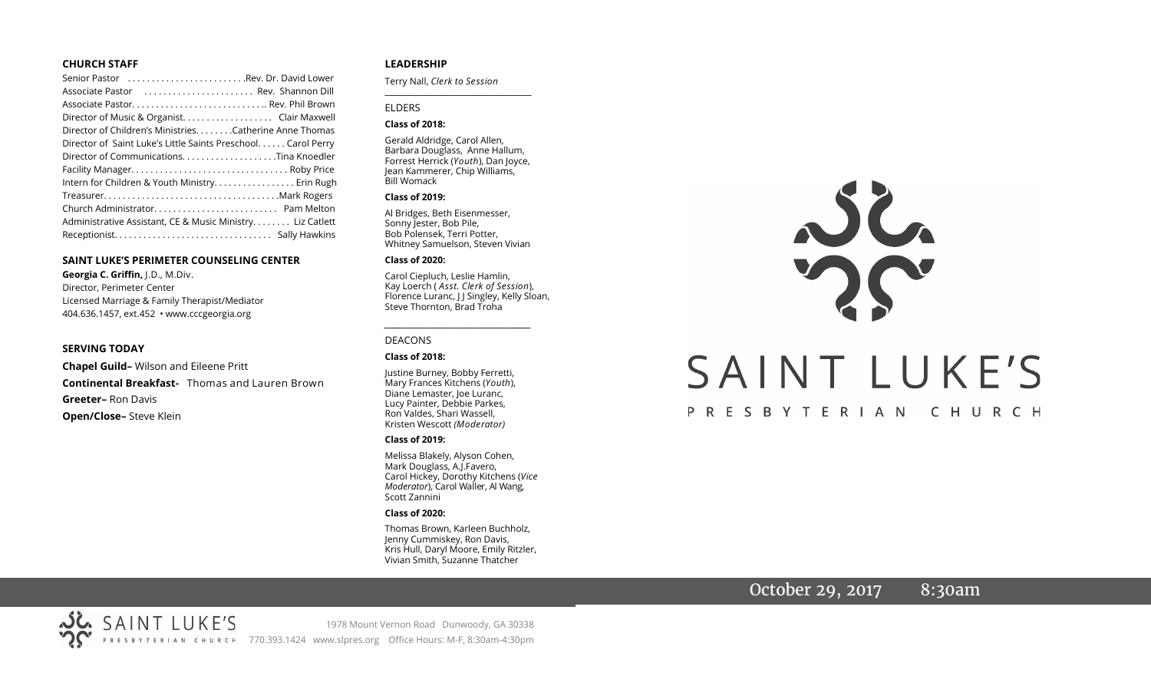# **CHURCH STAFF**

| Senior Pastor Rev. Dr. David Lower                           |
|--------------------------------------------------------------|
| Associate Pastor  Rev. Shannon Dill                          |
| Associate Pastor Rev. Phil Brown                             |
| Director of Music & Organist. Clair Maxwell                  |
| Director of Children's Ministries. Catherine Anne Thomas     |
| Director of Saint Luke's Little Saints Preschool Carol Perry |
| Director of CommunicationsTina Knoedler                      |
|                                                              |
| Intern for Children & Youth Ministry Erin Rugh               |
|                                                              |
|                                                              |
| Administrative Assistant, CE & Music Ministry Liz Catlett    |
|                                                              |

## **SAINT LUKE'S PERIMETER COUNSELING CENTER**

**Georgia C. Griffin,** J.D., M.Div. Director, Perimeter Center Licensed Marriage & Family Therapist/Mediator 404.636.1457, ext.452 • www.cccgeorgia.org

#### **SERVING TODAY**

**Chapel Guild–** Wilson and Eileene Pritt **Continental Breakfast-** Thomas and Lauren Brown **Greeter–** Ron Davis **Open/Close–** Steve Klein

# **LEADERSHIP**

Terry Nall, *Clerk to Session* 

## ELDERS

## **Class of 2018:**

Gerald Aldridge, Carol Allen, Barbara Douglass, Anne Hallum, Forrest Herrick (*Youth*), Dan Joyce, Jean Kammerer, Chip Williams, Bill Womack

**\_\_\_\_\_\_\_\_\_\_\_\_\_\_\_\_\_\_\_\_\_\_\_\_\_\_\_\_\_\_\_\_\_\_\_\_\_\_\_**

#### **Class of 2019:**

Al Bridges, Beth Eisenmesser, Sonny Jester, Bob Pile, Bob Polensek, Terri Potter, Whitney Samuelson, Steven Vivian

#### **Class of 2020:**

Carol Ciepluch, Leslie Hamlin, Kay Loerch ( *Asst. Clerk of Session*), Florence Luranc, J J Singley, Kelly Sloan, Steve Thornton, Brad Troha

*\_\_\_\_\_\_\_\_\_\_\_\_\_\_\_\_\_\_\_\_\_\_\_\_\_\_\_\_\_\_\_\_\_\_\_\_\_*

#### DEACONS

#### **Class of 2018:**

Justine Burney, Bobby Ferretti, Mary Frances Kitchens (*Youth*), Diane Lemaster, Joe Luranc, Lucy Painter, Debbie Parkes, Ron Valdes, Shari Wassell, Kristen Wescott *(Moderator)*

#### **Class of 2019:**

Melissa Blakely, Alyson Cohen, Mark Douglass, A.J.Favero, Carol Hickey, Dorothy Kitchens (*Vice Moderator*), Carol Waller, Al Wang, Scott Zannini

#### **Class of 2020:**

Thomas Brown, Karleen Buchholz, Jenny Cummiskey, Ron Davis, Kris Hull, Daryl Moore, Emily Ritzler, Vivian Smith, Suzanne Thatcher

# JL SAINT LUKE'S PRESBYTERIAN CHURCH

# October 29, 2017 8:30am

SAINT LUKE'S 1978 Mount Vernon Road Dunwoody, GA 30338 PRESBYTERIAN CHURCH 770.393.1424 www.slpres.org Office Hours: M-F, 8:30am-4:30pm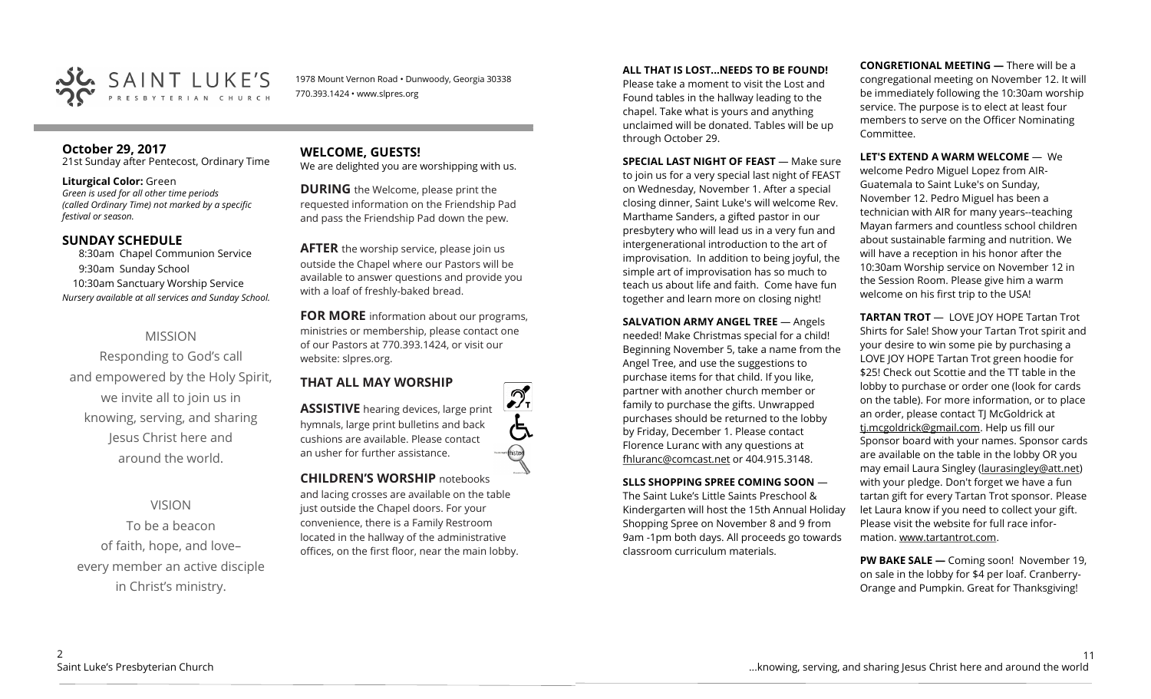

1978 Mount Vernon Road • Dunwoody, Georgia 30338 770.393.1424 • www.slpres.org

# **October 29, 2017**

21st Sunday after Pentecost, Ordinary Time

# **Liturgical Color:** Green

*Green is used for all other time periods (called Ordinary Time) not marked by a specific festival or season.* 

# **SUNDAY SCHEDULE**

8:30am Chapel Communion Service 9:30am Sunday School 10:30am Sanctuary Worship Service *Nursery available at all services and Sunday School.*

# MISSION

Responding to God's call and empowered by the Holy Spirit, we invite all to join us in knowing, serving, and sharing Jesus Christ here and around the world.

VISION To be a beacon of faith, hope, and love– every member an active disciple in Christ's ministry.

**WELCOME, GUESTS!** 

We are delighted you are worshipping with us.

**DURING** the Welcome, please print the requested information on the Friendship Pad and pass the Friendship Pad down the pew.

**AFTER** the worship service, please join us outside the Chapel where our Pastors will be available to answer questions and provide you with a loaf of freshly-baked bread.

**FOR MORE** information about our programs, ministries or membership, please contact one of our Pastors at 770.393.1424, or visit our website: slpres.org.

# **THAT ALL MAY WORSHIP**

**ASSISTIVE** hearing devices, large print hymnals, large print bulletins and back cushions are available. Please contact an usher for further assistance.

**CHILDREN'S WORSHIP** notebooks and lacing crosses are available on the table just outside the Chapel doors. For your convenience, there is a Family Restroom located in the hallway of the administrative offices, on the first floor, near the main lobby.

# **ALL THAT IS LOST...NEEDS TO BE FOUND!**

Please take a moment to visit the Lost and Found tables in the hallway leading to the chapel. Take what is yours and anything unclaimed will be donated. Tables will be up through October 29.

**SPECIAL LAST NIGHT OF FEAST** — Make sure to join us for a very special last night of FEAST on Wednesday, November 1. After a special closing dinner, Saint Luke's will welcome Rev. Marthame Sanders, a gifted pastor in our presbytery who will lead us in a very fun and intergenerational introduction to the art of improvisation. In addition to being joyful, the simple art of improvisation has so much to teach us about life and faith. Come have fun together and learn more on closing night!

**SALVATION ARMY ANGEL TREE** — Angels needed! Make Christmas special for a child! Beginning November 5, take a name from the Angel Tree, and use the suggestions to purchase items for that child. If you like, partner with another church member or family to purchase the gifts. Unwrapped purchases should be returned to the lobby by Friday, December 1. Please contact Florence Luranc with any questions at [fhluranc@comcast.net](mailto:fhluranc@comcast.net) or 404.915.3148.

# **SLLS SHOPPING SPREE COMING SOON** —

The Saint Luke's Little Saints Preschool & Kindergarten will host the 15th Annual Holiday Shopping Spree on November 8 and 9 from 9am -1pm both days. All proceeds go towards classroom curriculum materials.

**CONGRETIONAL MEETING —** There will be a congregational meeting on November 12. It will be immediately following the 10:30am worship service. The purpose is to elect at least four members to serve on the Officer Nominating Committee.

# **LET'S EXTEND A WARM WELCOME** — We

welcome Pedro Miguel Lopez from AIR-Guatemala to Saint Luke's on Sunday, November 12. Pedro Miguel has been a technician with AIR for many years--teaching Mayan farmers and countless school children about sustainable farming and nutrition. We will have a reception in his honor after the 10:30am Worship service on November 12 in the Session Room. Please give him a warm welcome on his first trip to the USA!

**TARTAN TROT** — LOVE JOY HOPE Tartan Trot Shirts for Sale! Show your Tartan Trot spirit and your desire to win some pie by purchasing a LOVE JOY HOPE Tartan Trot green hoodie for \$25! Check out Scottie and the TT table in the lobby to purchase or order one (look for cards on the table). For more information, or to place an order, please contact TJ McGoldrick at [tj.mcgoldrick@gmail.com.](mailto:tj.mcgoldrick@gmail.com) Help us fill our Sponsor board with your names. Sponsor cards are available on the table in the lobby OR you may email Laura Singley ([laurasingley@att.net\)](mailto:laurasingley@att.net) with your pledge. Don't forget we have a fun tartan gift for every Tartan Trot sponsor. Please let Laura know if you need to collect your gift. Please visit the website for full race information. [www.tartantrot.com.](http://www.tartantrot.com/)

**PW BAKE SALE —** Coming soon! November 19, on sale in the lobby for \$4 per loaf. Cranberry-Orange and Pumpkin. Great for Thanksgiving!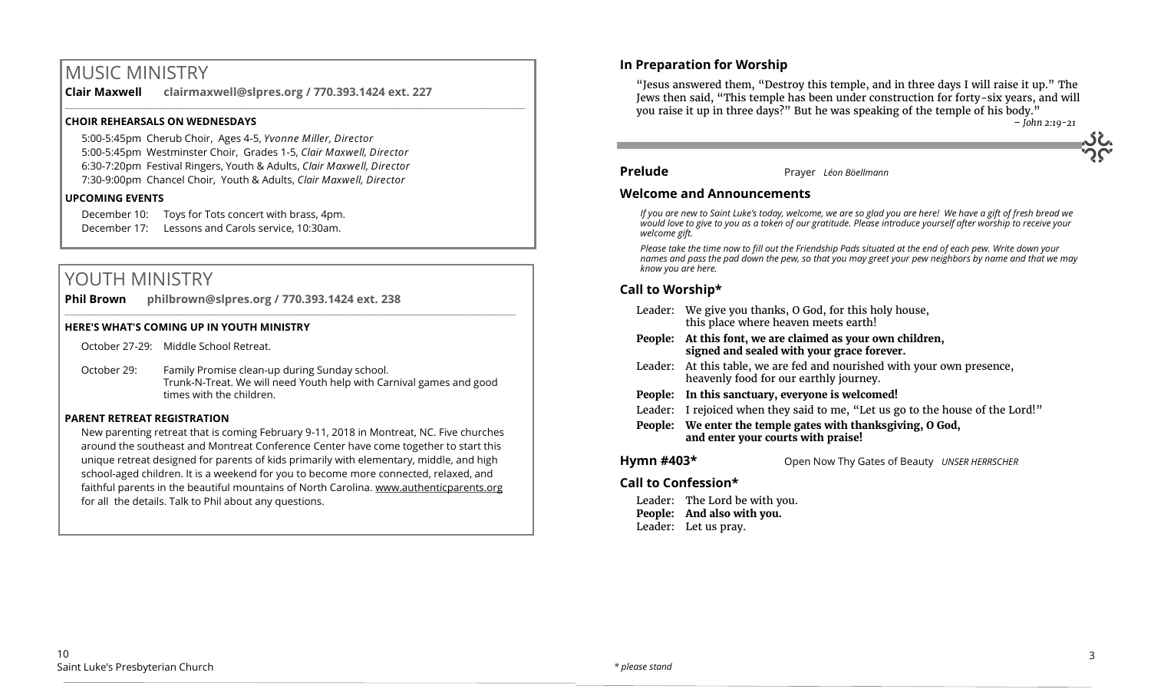# MUSIC MINISTRY

**Clair Maxwell clairmaxwell@slpres.org / 770.393.1424 ext. 227**  \_\_\_\_\_\_\_\_\_\_\_\_\_\_\_\_\_\_\_\_\_\_\_\_\_\_\_\_\_\_\_\_\_\_\_\_\_\_\_\_\_\_\_\_\_\_\_\_\_\_\_\_\_\_\_\_\_\_\_\_\_\_\_\_\_\_\_\_\_\_\_\_\_\_\_\_\_\_\_\_\_\_\_\_\_\_\_\_\_\_\_\_\_\_\_\_\_\_\_\_

# **CHOIR REHEARSALS ON WEDNESDAYS**

5:00-5:45pm Cherub Choir, Ages 4-5, *Yvonne Miller, Director*  5:00-5:45pm Westminster Choir, Grades 1-5, *Clair Maxwell, Director*  6:30-7:20pm Festival Ringers, Youth & Adults, *Clair Maxwell, Director*  7:30-9:00pm Chancel Choir, Youth & Adults, *Clair Maxwell, Director*

# **UPCOMING EVENTS**

December 10: Toys for Tots concert with brass, 4pm. December 17: Lessons and Carols service, 10:30am.

# YOUTH MINISTRY

**Phil Brown philbrown@slpres.org / 770.393.1424 ext. 238** 

# **HERE'S WHAT'S COMING UP IN YOUTH MINISTRY**

October 27-29: Middle School Retreat.

October 29: Family Promise clean-up during Sunday school. Trunk-N-Treat. We will need Youth help with Carnival games and good times with the children.

 $\_$  , and the state of the state of the state of the state of the state of the state of the state of the state of the state of the state of the state of the state of the state of the state of the state of the state of the

# **PARENT RETREAT REGISTRATION**

New parenting retreat that is coming February 9-11, 2018 in Montreat, NC. Five churches around the southeast and Montreat Conference Center have come together to start this unique retreat designed for parents of kids primarily with elementary, middle, and high school-aged children. It is a weekend for you to become more connected, relaxed, and faithful parents in the beautiful mountains of North Carolina. [www.authenticparents.org](http://www.authenticparents.org)  for all the details. Talk to Phil about any questions.

# **In Preparation for Worship**

"Jesus answered them, "Destroy this temple, and in three days I will raise it up." The Jews then said, "This temple has been under construction for forty-six years, and will you raise it up in three days?" But he was speaking of the temple of his body."

*– John 2:19-21*

# **Prelude** Prayer *Léon Böellmann*

# **Welcome and Announcements**

*If you are new to Saint Luke's today, welcome, we are so glad you are here! We have a gift of fresh bread we would love to give to you as a token of our gratitude. Please introduce yourself after worship to receive your welcome gift.*

*Please take the time now to fill out the Friendship Pads situated at the end of each pew. Write down your names and pass the pad down the pew, so that you may greet your pew neighbors by name and that we may know you are here.*

# **Call to Worship\***

|            | Leader: We give you thanks, O God, for this holy house,<br>this place where heaven meets earth!                   |  |  |
|------------|-------------------------------------------------------------------------------------------------------------------|--|--|
| People:    | At this font, we are claimed as your own children,<br>signed and sealed with your grace forever.                  |  |  |
|            | Leader: At this table, we are fed and nourished with your own presence,<br>heavenly food for our earthly journey. |  |  |
| People:    | In this sanctuary, everyone is welcomed!                                                                          |  |  |
| Leader:    | I rejoiced when they said to me, "Let us go to the house of the Lord!"                                            |  |  |
|            | People: We enter the temple gates with thanksgiving, O God,<br>and enter your courts with praise!                 |  |  |
| Hymn #403* | Open Now Thy Gates of Beauty UNSER HERRSCHER                                                                      |  |  |

# **Call to Confession\***

Leader: The Lord be with you. **People: And also with you.** Leader: Let us pray.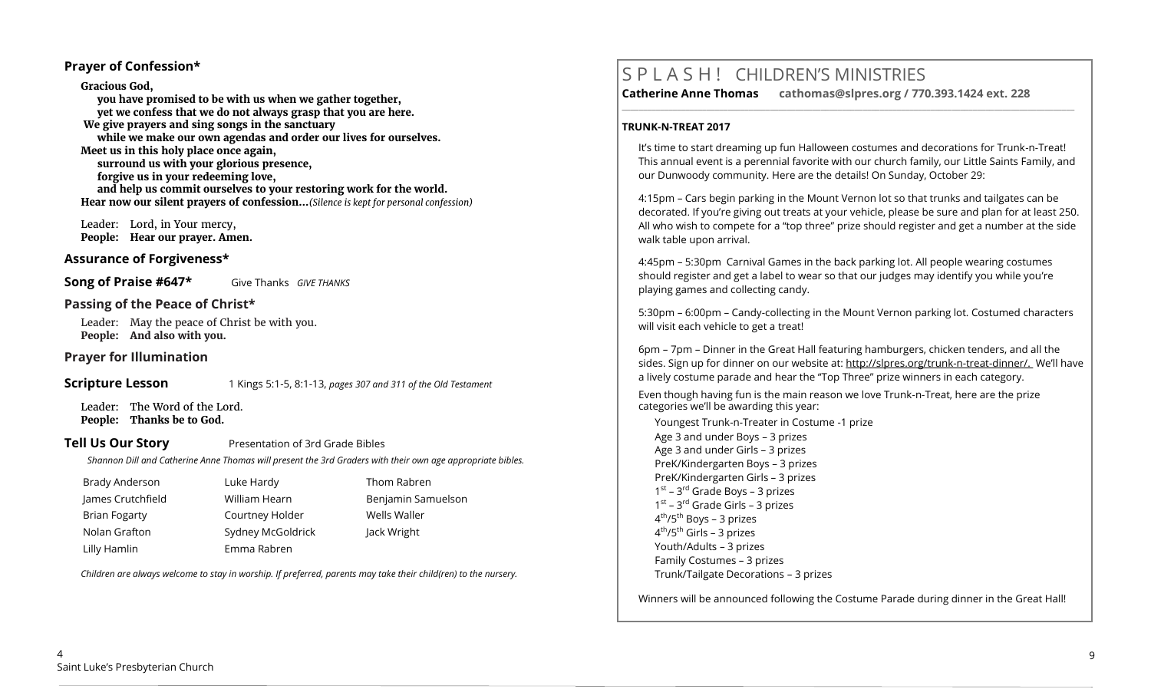# **Prayer of Confession\***

**Gracious God, you have promised to be with us when we gather together, yet we confess that we do not always grasp that you are here. We give prayers and sing songs in the sanctuary while we make our own agendas and order our lives for ourselves. Meet us in this holy place once again, surround us with your glorious presence, forgive us in your redeeming love, and help us commit ourselves to your restoring work for the world. Hear now our silent prayers of confession…***(Silence is kept for personal confession)* 

 Leader: Lord, in Your mercy, **People: Hear our prayer. Amen.**

# **Assurance of Forgiveness\***

**Song of Praise #647\*** Give Thanks *GIVE THANKS* 

# **Passing of the Peace of Christ\***

Leader: May the peace of Christ be with you. **People: And also with you.**

# **Prayer for Illumination**

# **Scripture Lesson** 1 Kings 5:1-5, 8:1-13, *pages 307 and 311 of the Old Testament*

Leader: The Word of the Lord. **People: Thanks be to God.**

# **Tell Us Our Story** Presentation of 3rd Grade Bibles

*Shannon Dill and Catherine Anne Thomas will present the 3rd Graders with their own age appropriate bibles.*

| Brady Anderson       | Luke Hardy        | Thom Rabren        |
|----------------------|-------------------|--------------------|
| James Crutchfield    | William Hearn     | Benjamin Samuelson |
| <b>Brian Fogarty</b> | Courtney Holder   | Wells Waller       |
| Nolan Grafton        | Sydney McGoldrick | Jack Wright        |
| Lilly Hamlin         | Emma Rabren       |                    |

*Children are always welcome to stay in worship. If preferred, parents may take their child(ren) to the nursery.*

# S P L A S H ! CHILDREN'S MINISTRIES

**\_\_\_\_\_\_\_\_\_\_\_\_\_\_\_\_\_\_\_\_\_\_\_\_\_\_\_\_\_\_\_\_\_\_\_\_\_\_\_\_\_\_\_\_\_\_\_\_\_\_\_\_\_\_\_\_\_\_\_\_\_\_\_\_\_\_\_\_\_\_\_\_\_\_\_\_\_\_\_\_\_\_\_\_\_\_\_\_\_\_\_\_\_\_\_\_\_\_\_\_\_\_\_\_\_\_\_** 

**Catherine Anne Thomas cathomas@slpres.org / 770.393.1424 ext. 228** 

# **TRUNK-N-TREAT 2017**

It's time to start dreaming up fun Halloween costumes and decorations for Trunk-n-Treat! This annual event is a perennial favorite with our church family, our Little Saints Family, and our Dunwoody community. Here are the details! On Sunday, October 29:

4:15pm – Cars begin parking in the Mount Vernon lot so that trunks and tailgates can be decorated. If you're giving out treats at your vehicle, please be sure and plan for at least 250. All who wish to compete for a "top three" prize should register and get a number at the side walk table upon arrival.

4:45pm – 5:30pm Carnival Games in the back parking lot. All people wearing costumes should register and get a label to wear so that our judges may identify you while you're playing games and collecting candy.

5:30pm – 6:00pm – Candy-collecting in the Mount Vernon parking lot. Costumed characters will visit each vehicle to get a treat!

6pm – 7pm – Dinner in the Great Hall featuring hamburgers, chicken tenders, and all the sides. Sign up for dinner on our website at: http://slpres.org/trunk-n-treat-dinner/. We'll have a lively costume parade and hear the "Top Three" prize winners in each category.

Even though having fun is the main reason we love Trunk-n-Treat, here are the prize categories we'll be awarding this year:

Youngest Trunk-n-Treater in Costume -1 prize Age 3 and under Boys – 3 prizes Age 3 and under Girls – 3 prizes PreK/Kindergarten Boys – 3 prizes PreK/Kindergarten Girls – 3 prizes 1<sup>st</sup> – 3<sup>rd</sup> Grade Boys – 3 prizes 1<sup>st</sup> – 3<sup>rd</sup> Grade Girls – 3 prizes 4<sup>th</sup>/5<sup>th</sup> Boys – 3 prizes 4<sup>th</sup>/5<sup>th</sup> Girls – 3 prizes Youth/Adults – 3 prizes Family Costumes – 3 prizes Trunk/Tailgate Decorations – 3 prizes

Winners will be announced following the Costume Parade during dinner in the Great Hall!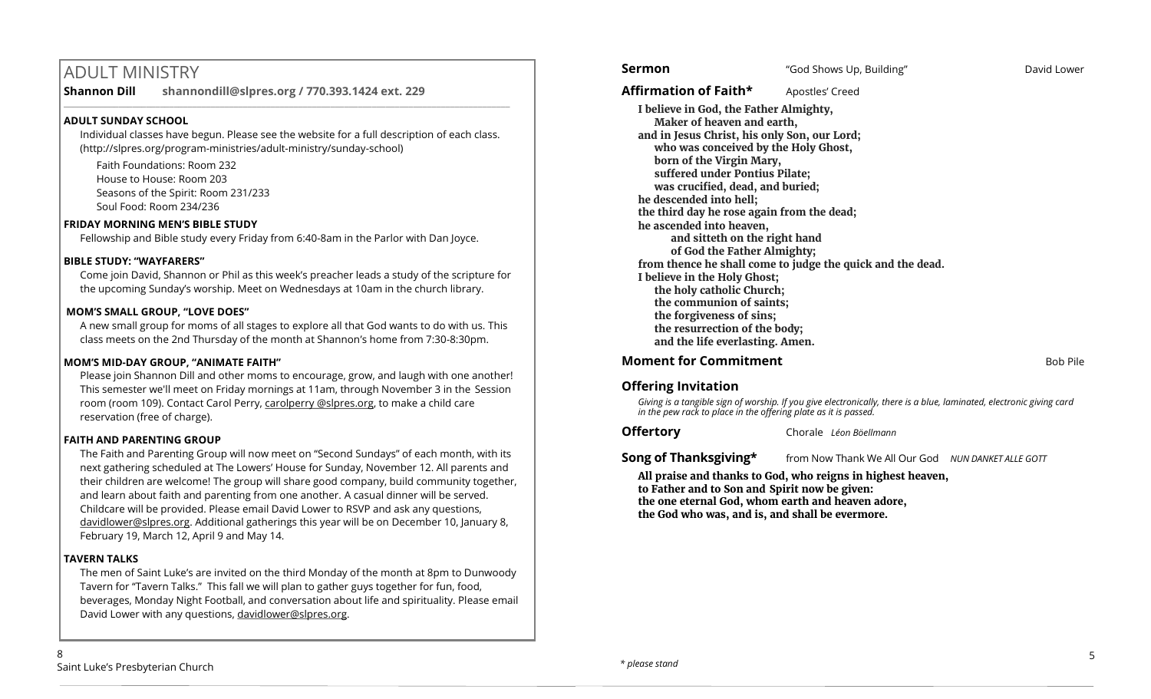# ADULT MINISTRY

**Shannon Dill shannondill@slpres.org / 770.393.1424 ext. 229** 

# **ADULT SUNDAY SCHOOL**

Individual classes have begun. Please see the website for a full description of each class. (http://slpres.org/program-ministries/adult-ministry/sunday-school)

 $\_$  ,  $\_$  ,  $\_$  ,  $\_$  ,  $\_$  ,  $\_$  ,  $\_$  ,  $\_$  ,  $\_$  ,  $\_$  ,  $\_$  ,  $\_$  ,  $\_$  ,  $\_$  ,  $\_$  ,  $\_$  ,  $\_$  ,  $\_$  ,  $\_$ 

Faith Foundations: Room 232 House to House: Room 203 Seasons of the Spirit: Room 231/233 Soul Food: Room 234/236

# **FRIDAY MORNING MEN'S BIBLE STUDY**

Fellowship and Bible study every Friday from 6:40-8am in the Parlor with Dan Joyce.

# **BIBLE STUDY: "WAYFARERS"**

Come join David, Shannon or Phil as this week's preacher leads a study of the scripture for the upcoming Sunday's worship. Meet on Wednesdays at 10am in the church library.

# **MOM'S SMALL GROUP, "LOVE DOES"**

A new small group for moms of all stages to explore all that God wants to do with us. This class meets on the 2nd Thursday of the month at Shannon's home from 7:30-8:30pm.

# **MOM'S MID-DAY GROUP, "ANIMATE FAITH"**

Please join Shannon Dill and other moms to encourage, grow, and laugh with one another! This semester we'll meet on Friday mornings at 11am, through November 3 in the Session room (room 109). Contact Carol Perry, carolperry @slpres.org, to make a child care reservation (free of charge).

# **FAITH AND PARENTING GROUP**

The Faith and Parenting Group will now meet on "Second Sundays" of each month, with its next gathering scheduled at The Lowers' House for Sunday, November 12. All parents and their children are welcome! The group will share good company, build community together, and learn about faith and parenting from one another. A casual dinner will be served. Childcare will be provided. Please email David Lower to RSVP and ask any questions, [davidlower@slpres.org.](mailto:davidlower@slpres.org) Additional gatherings this year will be on December 10, January 8, February 19, March 12, April 9 and May 14.

# **TAVERN TALKS**

The men of Saint Luke's are invited on the third Monday of the month at 8pm to Dunwoody Tavern for "Tavern Talks." This fall we will plan to gather guys together for fun, food, beverages, Monday Night Football, and conversation about life and spirituality. Please email David Lower with any questions, davidlower@slpres.org.

# Affirmation of Faith\* **Apostles'** Creed

**I believe in God, the Father Almighty, Maker of heaven and earth, and in Jesus Christ, his only Son, our Lord; who was conceived by the Holy Ghost, born of the Virgin Mary, suffered under Pontius Pilate; was crucified, dead, and buried; he descended into hell; the third day he rose again from the dead; he ascended into heaven, and sitteth on the right hand of God the Father Almighty; from thence he shall come to judge the quick and the dead. I believe in the Holy Ghost; the holy catholic Church; the communion of saints; the forgiveness of sins; the resurrection of the body; and the life everlasting. Amen.**

# **Moment for Commitment Bob Pile** Bob Pile

# **Offering Invitation**

*Giving is a tangible sign of worship. If you give electronically, there is a blue, laminated, electronic giving card in the pew rack to place in the offering plate as it is passed.*

**Offertory** Chorale *Léon Böellmann*

**Song of Thanksgiving\*** from Now Thank We All Our God *NUN DANKET ALLE GOTT* 

**All praise and thanks to God, who reigns in highest heaven, to Father and to Son and Spirit now be given: the one eternal God, whom earth and heaven adore, the God who was, and is, and shall be evermore.**